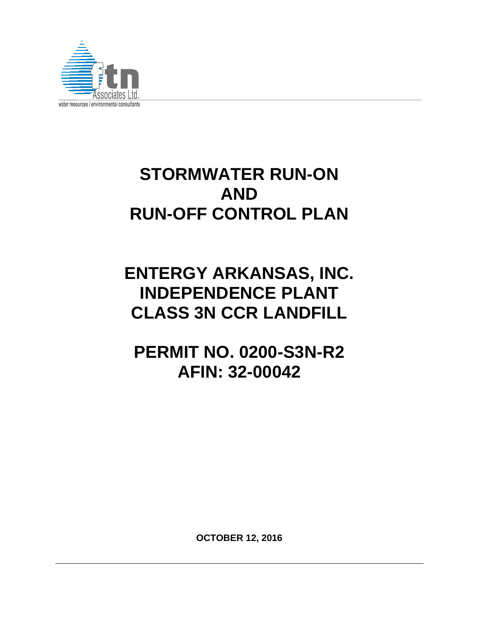

# **STORMWATER RUN-ON AND RUN-OFF CONTROL PLAN**

# **ENTERGY ARKANSAS, INC. INDEPENDENCE PLANT CLASS 3N CCR LANDFILL**

**PERMIT NO. 0200-S3N-R2 AFIN: 32-00042** 

**OCTOBER 12, 2016**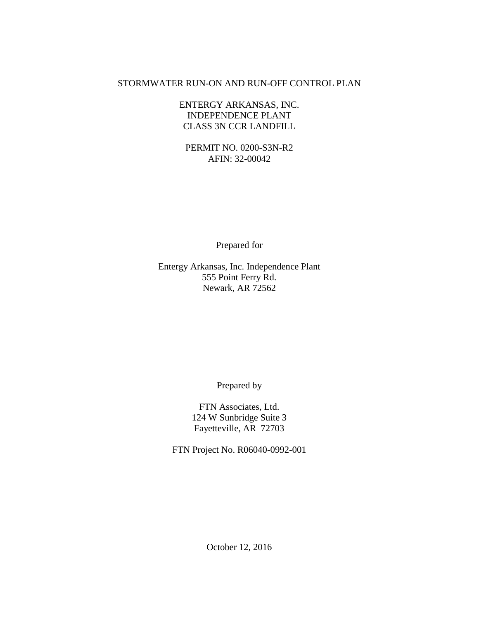#### STORMWATER RUN-ON AND RUN-OFF CONTROL PLAN

#### ENTERGY ARKANSAS, INC. INDEPENDENCE PLANT CLASS 3N CCR LANDFILL

PERMIT NO. 0200-S3N-R2 AFIN: 32-00042

Prepared for

Entergy Arkansas, Inc. Independence Plant 555 Point Ferry Rd. Newark, AR 72562

Prepared by

FTN Associates, Ltd. 124 W Sunbridge Suite 3 Fayetteville, AR 72703

FTN Project No. R06040-0992-001

October 12, 2016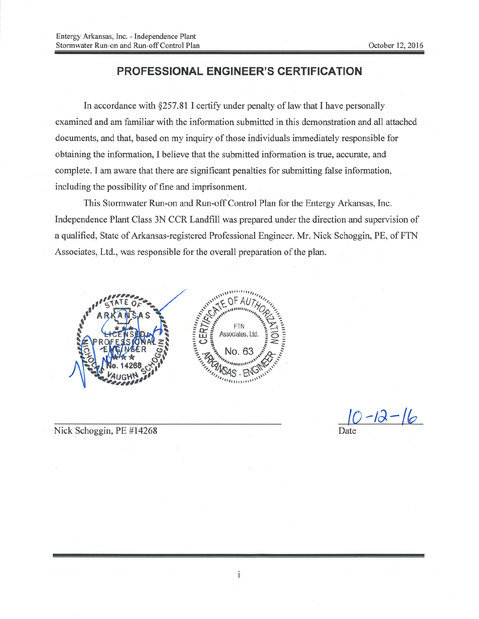#### **PROFESSIONAL ENGINEER'S CERTIFICATION**

In accordance with  $\S 257.81$  I certify under penalty of law that I have personally examined and am familiar with the information submitted in this demonstration and all attached documents, and that, based on my inquiry of those individuals immediately responsible for obtaining the information. I believe that the submitted information is true, accurate, and complete. I am aware that there are significant penalties for submitting false information, including the possibility of fine and imprisonment.

This Stormwater Run-on and Run-off Control Plan for the Entergy Arkansas, Inc. Independence Plant Class 3N CCR Landfill was prepared under the direction and supervision of a qualified, State of Arkansas-registered Professional Engineer. Mr. Nick Schoggin, PE, of FTN Associates, Ltd., was responsible for the overall preparation of the plan.



 $\frac{|0 - 12 - 16|}{\text{Date}}$ 

Nick Schoggin, PE #14268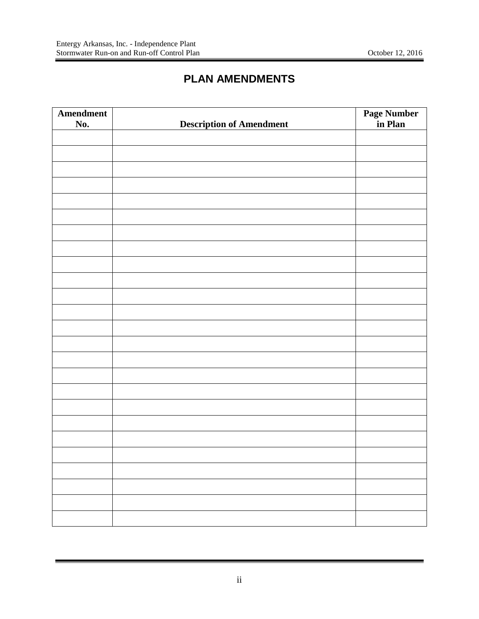# **PLAN AMENDMENTS**

<span id="page-3-0"></span>

| <b>Amendment</b> |                                 | <b>Page Number</b><br>in <b>Plan</b> |
|------------------|---------------------------------|--------------------------------------|
| No.              | <b>Description of Amendment</b> |                                      |
|                  |                                 |                                      |
|                  |                                 |                                      |
|                  |                                 |                                      |
|                  |                                 |                                      |
|                  |                                 |                                      |
|                  |                                 |                                      |
|                  |                                 |                                      |
|                  |                                 |                                      |
|                  |                                 |                                      |
|                  |                                 |                                      |
|                  |                                 |                                      |
|                  |                                 |                                      |
|                  |                                 |                                      |
|                  |                                 |                                      |
|                  |                                 |                                      |
|                  |                                 |                                      |
|                  |                                 |                                      |
|                  |                                 |                                      |
|                  |                                 |                                      |
|                  |                                 |                                      |
|                  |                                 |                                      |
|                  |                                 |                                      |
|                  |                                 |                                      |
|                  |                                 |                                      |
|                  |                                 |                                      |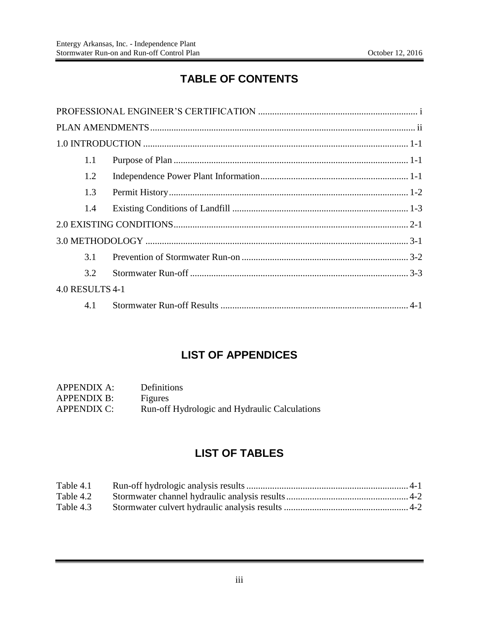# **TABLE OF CONTENTS**

| 1.1             |  |
|-----------------|--|
| 1.2             |  |
| 1.3             |  |
| 1.4             |  |
|                 |  |
|                 |  |
| 3.1             |  |
| 3.2             |  |
| 4.0 RESULTS 4-1 |  |
| 4.1             |  |

## **LIST OF APPENDICES**

| <b>APPENDIX A:</b> | Definitions                                   |
|--------------------|-----------------------------------------------|
| <b>APPENDIX B:</b> | Figures                                       |
| <b>APPENDIX C:</b> | Run-off Hydrologic and Hydraulic Calculations |

# **LIST OF TABLES**

| Table 4.1 |  |
|-----------|--|
| Table 4.2 |  |
| Table 4.3 |  |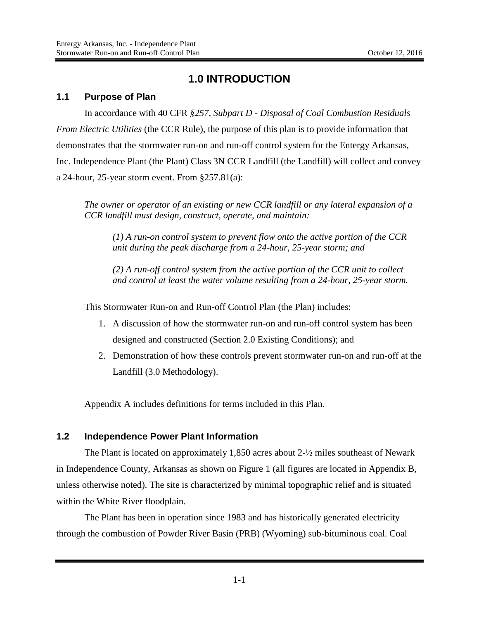## **1.0 INTRODUCTION**

#### <span id="page-5-1"></span><span id="page-5-0"></span>**1.1 Purpose of Plan**

In accordance with 40 CFR *§257, Subpart D - Disposal of Coal Combustion Residuals From Electric Utilities* (the CCR Rule), the purpose of this plan is to provide information that demonstrates that the stormwater run-on and run-off control system for the Entergy Arkansas, Inc. Independence Plant (the Plant) Class 3N CCR Landfill (the Landfill) will collect and convey a 24-hour, 25-year storm event. From §257.81(a):

*The owner or operator of an existing or new CCR landfill or any lateral expansion of a CCR landfill must design, construct, operate, and maintain:* 

*(1) A run-on control system to prevent flow onto the active portion of the CCR unit during the peak discharge from a 24-hour, 25-year storm; and* 

*(2) A run-off control system from the active portion of the CCR unit to collect and control at least the water volume resulting from a 24-hour, 25-year storm.* 

This Stormwater Run-on and Run-off Control Plan (the Plan) includes:

- 1. A discussion of how the stormwater run-on and run-off control system has been designed and constructed (Section 2.0 Existing Conditions); and
- 2. Demonstration of how these controls prevent stormwater run-on and run-off at the Landfill (3.0 Methodology).

Appendix A includes definitions for terms included in this Plan.

#### <span id="page-5-2"></span>**1.2 Independence Power Plant Information**

The Plant is located on approximately 1,850 acres about 2-½ miles southeast of Newark in Independence County, Arkansas as shown on Figure 1 (all figures are located in Appendix B, unless otherwise noted). The site is characterized by minimal topographic relief and is situated within the White River floodplain.

The Plant has been in operation since 1983 and has historically generated electricity through the combustion of Powder River Basin (PRB) (Wyoming) sub-bituminous coal. Coal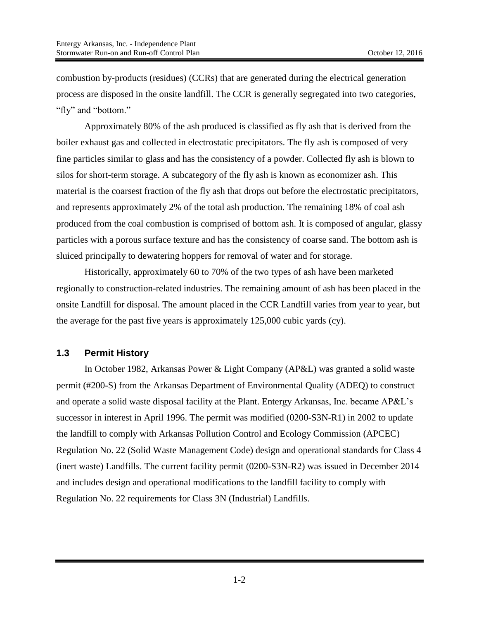combustion by-products (residues) (CCRs) that are generated during the electrical generation process are disposed in the onsite landfill. The CCR is generally segregated into two categories, "fly" and "bottom."

Approximately 80% of the ash produced is classified as fly ash that is derived from the boiler exhaust gas and collected in electrostatic precipitators. The fly ash is composed of very fine particles similar to glass and has the consistency of a powder. Collected fly ash is blown to silos for short-term storage. A subcategory of the fly ash is known as economizer ash. This material is the coarsest fraction of the fly ash that drops out before the electrostatic precipitators, and represents approximately 2% of the total ash production. The remaining 18% of coal ash produced from the coal combustion is comprised of bottom ash. It is composed of angular, glassy particles with a porous surface texture and has the consistency of coarse sand. The bottom ash is sluiced principally to dewatering hoppers for removal of water and for storage.

Historically, approximately 60 to 70% of the two types of ash have been marketed regionally to construction-related industries. The remaining amount of ash has been placed in the onsite Landfill for disposal. The amount placed in the CCR Landfill varies from year to year, but the average for the past five years is approximately 125,000 cubic yards (cy).

#### <span id="page-6-0"></span>**1.3 Permit History**

In October 1982, Arkansas Power & Light Company (AP&L) was granted a solid waste permit (#200-S) from the Arkansas Department of Environmental Quality (ADEQ) to construct and operate a solid waste disposal facility at the Plant. Entergy Arkansas, Inc. became AP&L's successor in interest in April 1996. The permit was modified (0200-S3N-R1) in 2002 to update the landfill to comply with Arkansas Pollution Control and Ecology Commission (APCEC) Regulation No. 22 (Solid Waste Management Code) design and operational standards for Class 4 (inert waste) Landfills. The current facility permit (0200-S3N-R2) was issued in December 2014 and includes design and operational modifications to the landfill facility to comply with Regulation No. 22 requirements for Class 3N (Industrial) Landfills.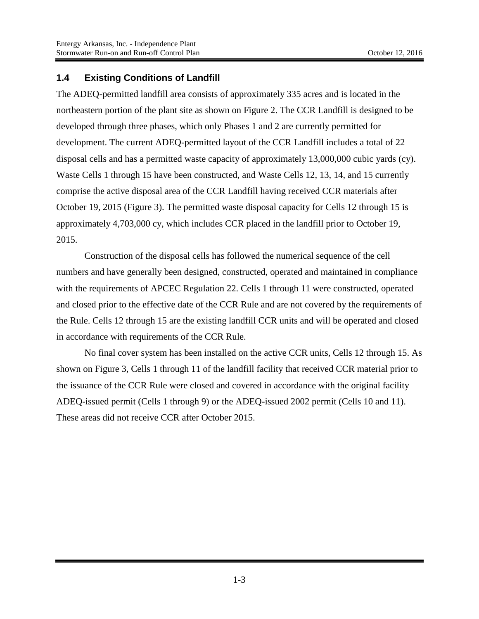#### <span id="page-7-0"></span>**1.4 Existing Conditions of Landfill**

The ADEQ-permitted landfill area consists of approximately 335 acres and is located in the northeastern portion of the plant site as shown on Figure 2. The CCR Landfill is designed to be developed through three phases, which only Phases 1 and 2 are currently permitted for development. The current ADEQ-permitted layout of the CCR Landfill includes a total of 22 disposal cells and has a permitted waste capacity of approximately 13,000,000 cubic yards (cy). Waste Cells 1 through 15 have been constructed, and Waste Cells 12, 13, 14, and 15 currently comprise the active disposal area of the CCR Landfill having received CCR materials after October 19, 2015 (Figure 3). The permitted waste disposal capacity for Cells 12 through 15 is approximately 4,703,000 cy, which includes CCR placed in the landfill prior to October 19, 2015.

Construction of the disposal cells has followed the numerical sequence of the cell numbers and have generally been designed, constructed, operated and maintained in compliance with the requirements of APCEC Regulation 22. Cells 1 through 11 were constructed, operated and closed prior to the effective date of the CCR Rule and are not covered by the requirements of the Rule. Cells 12 through 15 are the existing landfill CCR units and will be operated and closed in accordance with requirements of the CCR Rule.

No final cover system has been installed on the active CCR units, Cells 12 through 15. As shown on Figure 3, Cells 1 through 11 of the landfill facility that received CCR material prior to the issuance of the CCR Rule were closed and covered in accordance with the original facility ADEQ-issued permit (Cells 1 through 9) or the ADEQ-issued 2002 permit (Cells 10 and 11). These areas did not receive CCR after October 2015.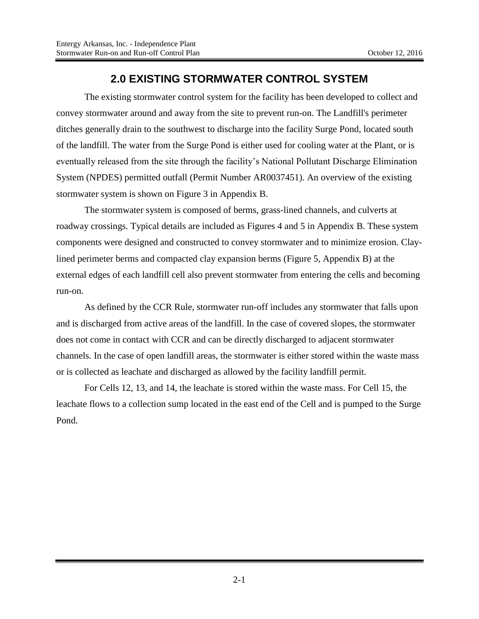### **2.0 EXISTING STORMWATER CONTROL SYSTEM**

<span id="page-8-0"></span>The existing stormwater control system for the facility has been developed to collect and convey stormwater around and away from the site to prevent run-on. The Landfill's perimeter ditches generally drain to the southwest to discharge into the facility Surge Pond, located south of the landfill. The water from the Surge Pond is either used for cooling water at the Plant, or is eventually released from the site through the facility's National Pollutant Discharge Elimination System (NPDES) permitted outfall (Permit Number AR0037451). An overview of the existing stormwater system is shown on Figure 3 in Appendix B.

The stormwater system is composed of berms, grass-lined channels, and culverts at roadway crossings. Typical details are included as Figures 4 and 5 in Appendix B. These system components were designed and constructed to convey stormwater and to minimize erosion. Claylined perimeter berms and compacted clay expansion berms (Figure 5, Appendix B) at the external edges of each landfill cell also prevent stormwater from entering the cells and becoming run-on.

As defined by the CCR Rule, stormwater run-off includes any stormwater that falls upon and is discharged from active areas of the landfill. In the case of covered slopes, the stormwater does not come in contact with CCR and can be directly discharged to adjacent stormwater channels. In the case of open landfill areas, the stormwater is either stored within the waste mass or is collected as leachate and discharged as allowed by the facility landfill permit.

For Cells 12, 13, and 14, the leachate is stored within the waste mass. For Cell 15, the leachate flows to a collection sump located in the east end of the Cell and is pumped to the Surge Pond.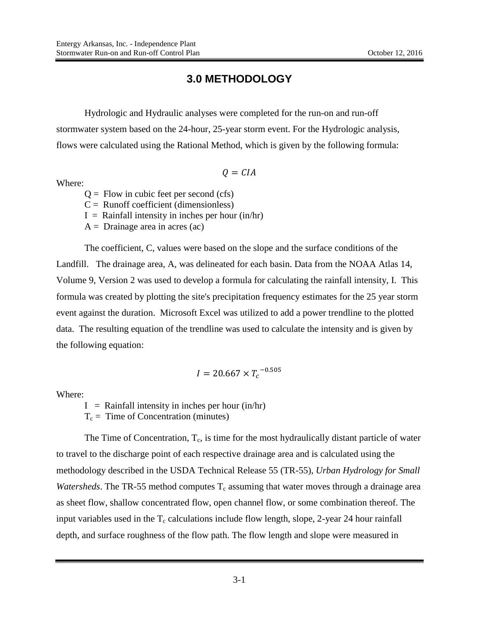### **3.0 METHODOLOGY**

<span id="page-9-0"></span>Hydrologic and Hydraulic analyses were completed for the run-on and run-off stormwater system based on the 24-hour, 25-year storm event. For the Hydrologic analysis, flows were calculated using the Rational Method, which is given by the following formula:

$$
Q = CIA
$$

Where:

 $Q =$  Flow in cubic feet per second (cfs)

 $C =$  Runoff coefficient (dimensionless)

 $I =$  Rainfall intensity in inches per hour (in/hr)

 $A =$  Drainage area in acres (ac)

The coefficient, C, values were based on the slope and the surface conditions of the Landfill. The drainage area, A, was delineated for each basin. Data from the NOAA Atlas 14, Volume 9, Version 2 was used to develop a formula for calculating the rainfall intensity, I. This formula was created by plotting the site's precipitation frequency estimates for the 25 year storm event against the duration. Microsoft Excel was utilized to add a power trendline to the plotted data. The resulting equation of the trendline was used to calculate the intensity and is given by the following equation:

$$
I = 20.667 \times T_c^{-0.505}
$$

Where:

 $I =$  Rainfall intensity in inches per hour (in/hr)

 $T_c$  = Time of Concentration (minutes)

The Time of Concentration,  $T_c$ , is time for the most hydraulically distant particle of water to travel to the discharge point of each respective drainage area and is calculated using the methodology described in the USDA Technical Release 55 (TR-55), *Urban Hydrology for Small Watersheds*. The TR-55 method computes  $T_c$  assuming that water moves through a drainage area as sheet flow, shallow concentrated flow, open channel flow, or some combination thereof. The input variables used in the  $T_c$  calculations include flow length, slope, 2-year 24 hour rainfall depth, and surface roughness of the flow path. The flow length and slope were measured in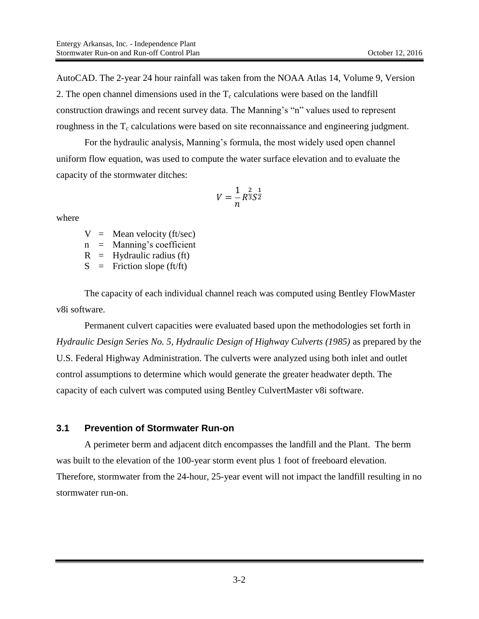AutoCAD. The 2-year 24 hour rainfall was taken from the NOAA Atlas 14, Volume 9, Version 2. The open channel dimensions used in the  $T_c$  calculations were based on the landfill construction drawings and recent survey data. The Manning's "n" values used to represent roughness in the  $T_c$  calculations were based on site reconnaissance and engineering judgment.

For the hydraulic analysis, Manning's formula, the most widely used open channel uniform flow equation, was used to compute the water surface elevation and to evaluate the capacity of the stormwater ditches:

$$
V = \frac{1}{n}R^{\frac{2}{3}}S^{\frac{1}{2}}
$$

where

 $V =$  Mean velocity (ft/sec)

n = Manning's coefficient

 $R =$  Hydraulic radius (ft)

 $S =$  Friction slope (ft/ft)

The capacity of each individual channel reach was computed using Bentley FlowMaster v8i software.

Permanent culvert capacities were evaluated based upon the methodologies set forth in *Hydraulic Design Series No. 5, Hydraulic Design of Highway Culverts (1985)* as prepared by the U.S. Federal Highway Administration. The culverts were analyzed using both inlet and outlet control assumptions to determine which would generate the greater headwater depth. The capacity of each culvert was computed using Bentley CulvertMaster v8i software.

#### <span id="page-10-0"></span>**3.1 Prevention of Stormwater Run-on**

A perimeter berm and adjacent ditch encompasses the landfill and the Plant. The berm was built to the elevation of the 100-year storm event plus 1 foot of freeboard elevation. Therefore, stormwater from the 24-hour, 25-year event will not impact the landfill resulting in no stormwater run-on.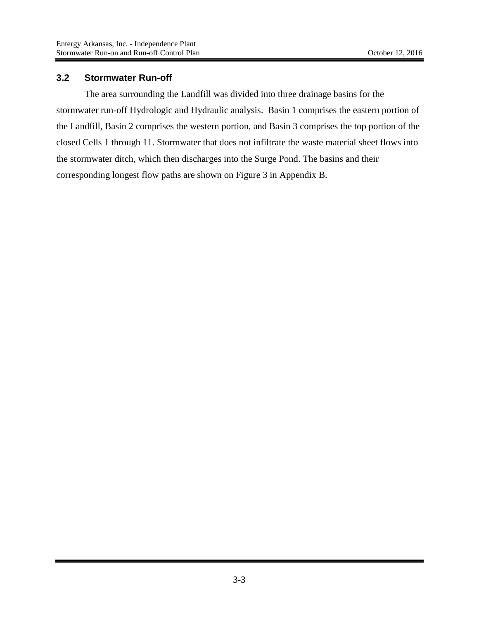#### <span id="page-11-0"></span>**3.2 Stormwater Run-off**

The area surrounding the Landfill was divided into three drainage basins for the stormwater run-off Hydrologic and Hydraulic analysis. Basin 1 comprises the eastern portion of the Landfill, Basin 2 comprises the western portion, and Basin 3 comprises the top portion of the closed Cells 1 through 11. Stormwater that does not infiltrate the waste material sheet flows into the stormwater ditch, which then discharges into the Surge Pond. The basins and their corresponding longest flow paths are shown on Figure 3 in Appendix B.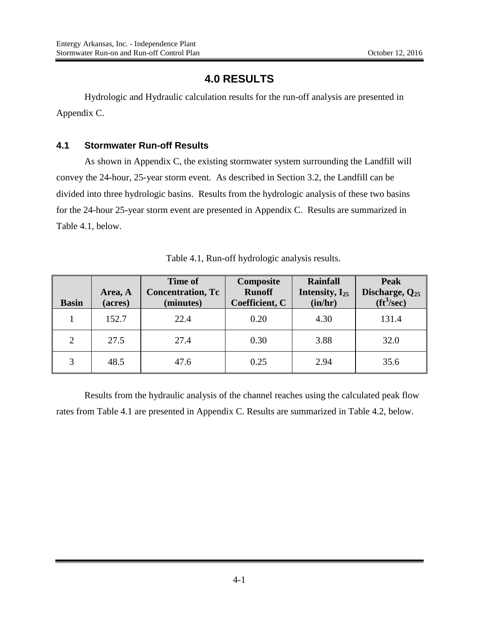## **4.0 RESULTS**

<span id="page-12-2"></span><span id="page-12-0"></span>Hydrologic and Hydraulic calculation results for the run-off analysis are presented in Appendix C.

#### <span id="page-12-1"></span>**4.1 Stormwater Run-off Results**

As shown in Appendix C, the existing stormwater system surrounding the Landfill will convey the 24-hour, 25-year storm event. As described in Section 3.2, the Landfill can be divided into three hydrologic basins. Results from the hydrologic analysis of these two basins for the 24-hour 25-year storm event are presented in Appendix C. Results are summarized in Table 4.1, below.

| <b>Basin</b>   | Area, A<br>(acres) | <b>Time of</b><br><b>Concentration, Tc</b><br>(minutes) | Composite<br><b>Runoff</b><br>Coefficient, C | <b>Rainfall</b><br>Intensity, $I_{25}$<br>(in/hr) | <b>Peak</b><br>Discharge, $Q_{25}$<br>$({\rm ft}^3/{\rm sec})$ |
|----------------|--------------------|---------------------------------------------------------|----------------------------------------------|---------------------------------------------------|----------------------------------------------------------------|
|                | 152.7              | 22.4                                                    | 0.20                                         | 4.30                                              | 131.4                                                          |
| $\overline{2}$ | 27.5               | 27.4                                                    | 0.30                                         | 3.88                                              | 32.0                                                           |
| 3              | 48.5               | 47.6                                                    | 0.25                                         | 2.94                                              | 35.6                                                           |

Table 4.1, Run-off hydrologic analysis results.

Results from the hydraulic analysis of the channel reaches using the calculated peak flow rates from Table 4.1 are presented in Appendix C. Results are summarized in Table 4.2, below.